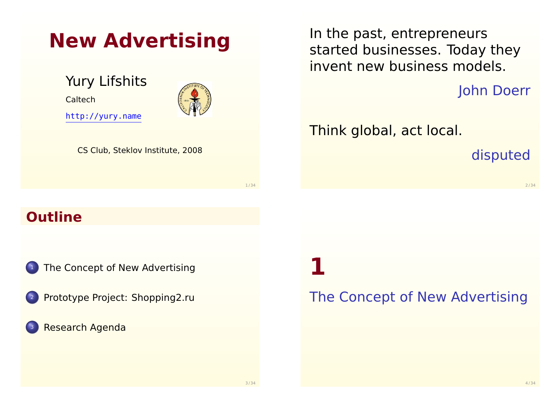| <b>New Advertising</b>                              |      |
|-----------------------------------------------------|------|
| <b>Yury Lifshits</b><br>Caltech<br>http://yury.name |      |
| CS Club, Steklov Institute, 2008                    |      |
|                                                     | 1/34 |
| <b>Outline</b>                                      |      |
|                                                     |      |

<sup>1</sup> [The Concept of New Advertis](#page-0-0)ing

- [Prototype Project: Shopping2](#page-2-0).ru
- [Research Agenda](http://yury.name)

In the past, entrepreneurs started businesses. Today they invent new business models.

John Doerr

Think global, act local.

disputed

2 / 34

**1**

<span id="page-0-0"></span>The Concept of New Advertising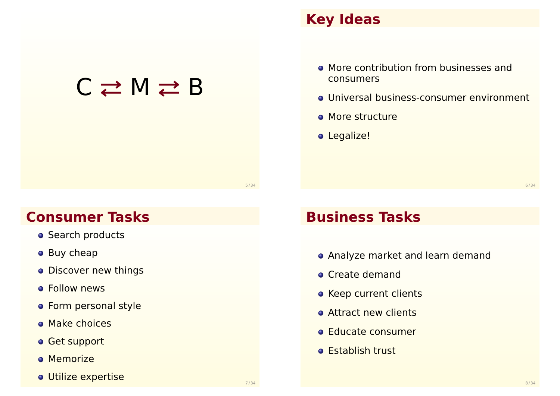# $C \rightleftarrows M \rightleftarrows B$

#### **Key Ideas**

- **More contribution from businesses and** consumers
- Universal business-consumer environment
- **More structure**
- o Legalize!

6 / 34

#### **Consumer Tasks**

- **Search products**
- Buy cheap
- **Discover new things**
- **o** Follow news
- **•** Form personal style
- **Make choices**
- **Get support**
- **o** Memorize
- Utilize expertise

#### **Business Tasks**

- Analyze market and learn demand
- **Create demand**
- **Keep current clients**
- **Attract new clients**
- **Educate consumer**
- **o** Establish trust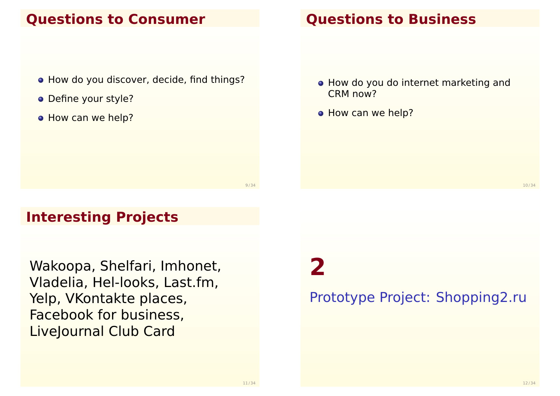#### **Questions to Consumer**

- How do you discover, decide, find things?
- Define your style?
- How can we help?

#### **Questions to Business**

- How do you do internet marketing and CRM now?
- How can we help?

10 / 34

### **Interesting Projects**

Wakoopa, Shelfari, Imhonet, Vladelia, Hel-looks, Last.fm, Yelp, VKontakte places, Facebook for business, LiveJournal Club Card

**2**

<span id="page-2-0"></span>Prototype Project: Shopping2.ru

 $Q / 34$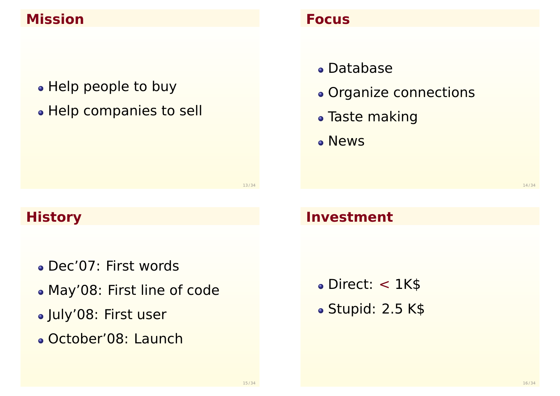### **Mission**

• Help people to buy

• Help companies to sell

# **History**

- Dec'07: First words
- May'08: First line of code
- July'08: First user
- October'08: Launch

#### **Focus**

- Database
- Organize connections
- Taste making
- News

14 / 34

### **Investment**

- Direct: < 1K\$
- Stupid: 2.5 K\$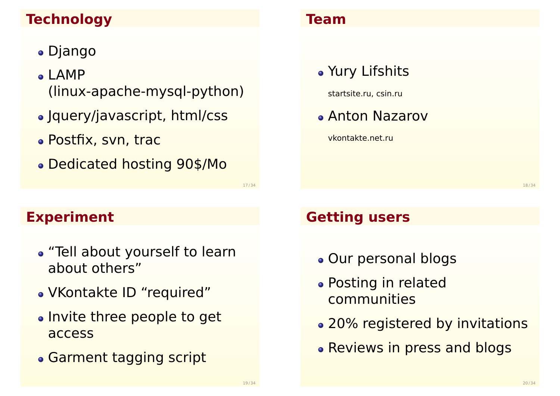# **Technology**

- Django
- $\bullet$  LAMP (linux-apache-mysql-python)
- Jquery/javascript, html/css
- Postfix, svn, trac
- Dedicated hosting 90\$/Mo

#### **Team**

Yury Lifshits

startsite.ru, csin.ru

Anton Nazarov

vkontakte.net.ru

18 / 34

# **Experiment**

- "Tell about yourself to learn about others"
- VKontakte ID "required"
- Invite three people to get access
- Garment tagging script

### **Getting users**

- Our personal blogs
- Posting in related communities
- 20% registered by invitations
- Reviews in press and blogs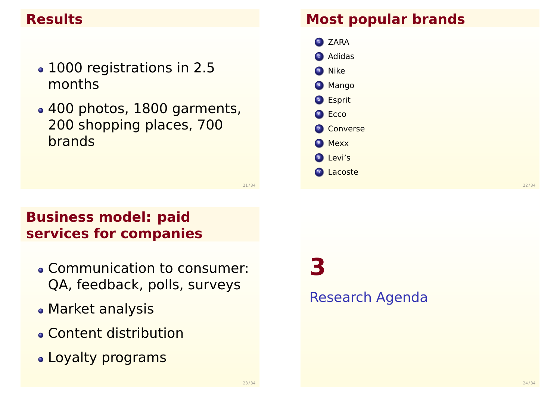### **Results**

- 1000 registrations in 2.5 months
- 400 photos, 1800 garments, 200 shopping places, 700 brands

#### **Most popular brands**

<sup>1</sup> ZARA <sup>2</sup> Adidas <sup>3</sup> Nike <sup>4</sup> Mango <sup>5</sup> Esprit 6 Ecco **2** Converse 8 Mexx <sup>9</sup> Levi's <sup>10</sup> Lacoste

21 / 34

# **Business model: paid services for companies**

- Communication to consumer: QA, feedback, polls, surveys
- Market analysis
- Content distribution
- Loyalty programs

**3**

#### <span id="page-5-0"></span>Research Agenda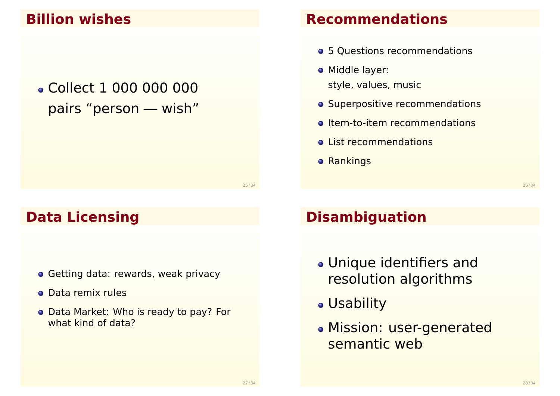#### **Billion wishes**

# Collect 1 000 000 000 pairs "person — wish"

#### **Recommendations**

- 5 Questions recommendations
- **•** Middle layer: style, values, music
- **o** Superpositive recommendations
- o Item-to-item recommendations
- **e** List recommendations
- **o** Rankings

26 / 34

#### **Data Licensing**

- **Getting data: rewards, weak privacy**
- Data remix rules
- Data Market: Who is ready to pay? For what kind of data?

# **Disambiguation**

- Unique identifiers and resolution algorithms
- Usability
- Mission: user-generated semantic web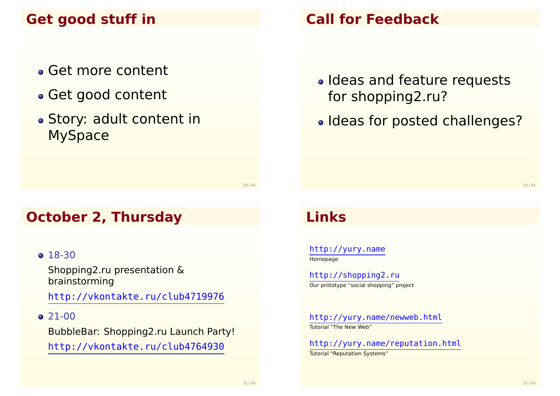# **Get good stuff in**

- Get more content
- Get good content
- Story: adult content in MySpace

29 / 34

#### **October 2, Thursday**

#### • [18-30](http://yury.name)

Shopping2.ru presentation & [brainstormi](http://shopping2.ru)ng

[http://vkontakte.ru/club4719](http://vkontakte.ru/club4719976)976

#### $\bigcirc$  21-00

[BubbleBar: Shopping](http://yury.name/newweb.html)2.ru Launch Party! [http://vkontakte.ru/](http://yury.name/reputation.html)[club4764](http://vkontakte.ru/club4764930)930

# **Call for Feedback**

- Ideas and feature requests for shopping2.ru?
- Ideas for posted challenges?

#### **Links**

http://yury.name **Homepage** 

http://shopping2.ru Our prototype "social shopping" project

http://yury.name/newweb.html Tutorial "The New Web"

http://yury.name/reputation.html Tutorial "Reputation Systems"